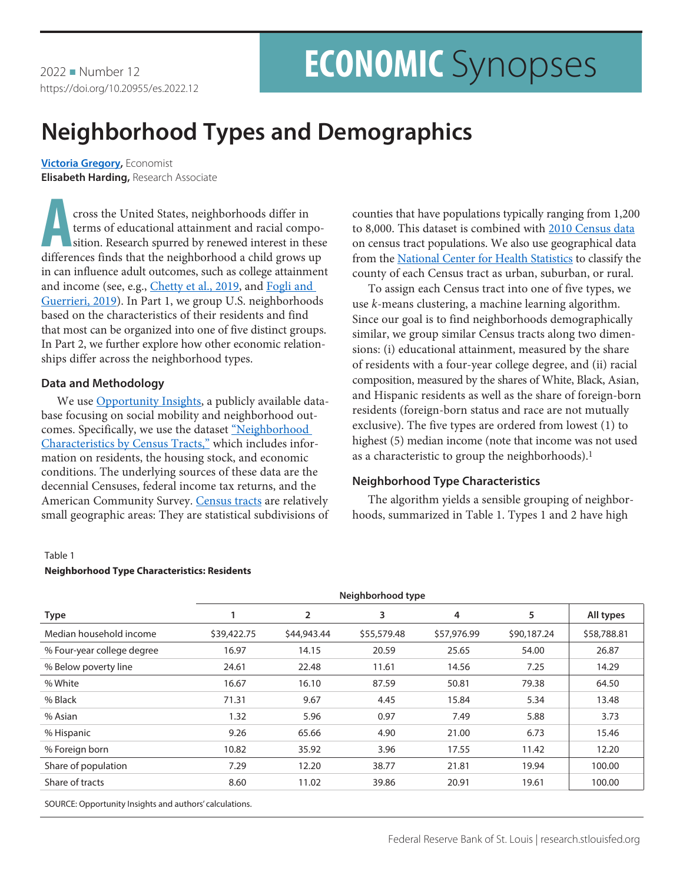2022 • Number 12 https://doi.org/10.20955/es.2022.12

# **Neighborhood Types and Demographics**

**[Victoria Gregory,](https://research.stlouisfed.org/econ/gregory/jp/)** Economist **Elisabeth Harding,** Research Associate

**Across the United States, neighborhoods differ in terms of educational attainment and racial composition. Research spurred by renewed interest in the differences finds that the neighborhood a child grows up** terms of educational attainment and racial composition. Research spurred by renewed interest in these differences finds that the neighborhood a child grows up in can influence adult outcomes, such as college attainment and income (see, e.g., [Chetty et al., 2019](https://academic.oup.com/qje/article/135/2/711/5687353), and Fogli and [Guerrieri, 2019\)](https://doi.org/10.2139/ssrn.3435823). In Part 1, we group U.S. neighborhoods based on the characteristics of their residents and find that most can be organized into one of five distinct groups. In Part 2, we further explore how other economic relationships differ across the neighborhood types.

# **Data and Methodology**

We use **Opportunity Insights**, a publicly available database focusing on social mobility and neighborhood outcomes. Specifically, we use the dataset "Neighborhood [Characteristics by Census Tracts,"](https://opportunityinsights.org/wp-content/uploads/2019/07/Codebook-for-Table-9.pdf) which includes information on residents, the housing stock, and economic conditions. The underlying sources of these data are the decennial Censuses, federal income tax returns, and the American Community Survey. [Census tracts](https://www.census.gov/programs-surveys/geography/about/glossary.html#par_textimage_13) are relatively small geographic areas: They are statistical subdivisions of counties that have populations typically ranging from 1,200 to 8,000. This dataset is combined with [2010 Census data](https://www2.census.gov/programs-surveys/decennial/tables/time-series/tract-change-00-10/) on census tract populations. We also use geographical data from the [National Center for Health Statistics](https://www.cdc.gov/nchs/data_access/urban_rural.htm) to classify the county of each Census tract as urban, suburban, or rural.

To assign each Census tract into one of five types, we use *k*-means clustering, a machine learning algorithm. Since our goal is to find neighborhoods demographically similar, we group similar Census tracts along two dimensions: (i) educational attainment, measured by the share of residents with a four-year college degree, and (ii) racial composition, measured by the shares of White, Black, Asian, and Hispanic residents as well as the share of foreign-born residents (foreign-born status and race are not mutually exclusive). The five types are ordered from lowest (1) to highest (5) median income (note that income was not used as a characteristic to group the neighborhoods).1

# **Neighborhood Type Characteristics**

The algorithm yields a sensible grouping of neighborhoods, summarized in Table 1. Types 1 and 2 have high

#### Table 1

# **Neighborhood Type Characteristics: Residents**

|                            | Neighborhood type |                |             |             |             |             |
|----------------------------|-------------------|----------------|-------------|-------------|-------------|-------------|
| <b>Type</b>                |                   | $\overline{2}$ | 3           | 4           | 5           | All types   |
| Median household income    | \$39,422.75       | \$44,943.44    | \$55,579.48 | \$57,976.99 | \$90,187.24 | \$58,788.81 |
| % Four-year college degree | 16.97             | 14.15          | 20.59       | 25.65       | 54.00       | 26.87       |
| % Below poverty line       | 24.61             | 22.48          | 11.61       | 14.56       | 7.25        | 14.29       |
| % White                    | 16.67             | 16.10          | 87.59       | 50.81       | 79.38       | 64.50       |
| % Black                    | 71.31             | 9.67           | 4.45        | 15.84       | 5.34        | 13.48       |
| % Asian                    | 1.32              | 5.96           | 0.97        | 7.49        | 5.88        | 3.73        |
| % Hispanic                 | 9.26              | 65.66          | 4.90        | 21.00       | 6.73        | 15.46       |
| % Foreign born             | 10.82             | 35.92          | 3.96        | 17.55       | 11.42       | 12.20       |
| Share of population        | 7.29              | 12.20          | 38.77       | 21.81       | 19.94       | 100.00      |
| Share of tracts            | 8.60              | 11.02          | 39.86       | 20.91       | 19.61       | 100.00      |

SOURCE: Opportunity Insights and authors' calculations.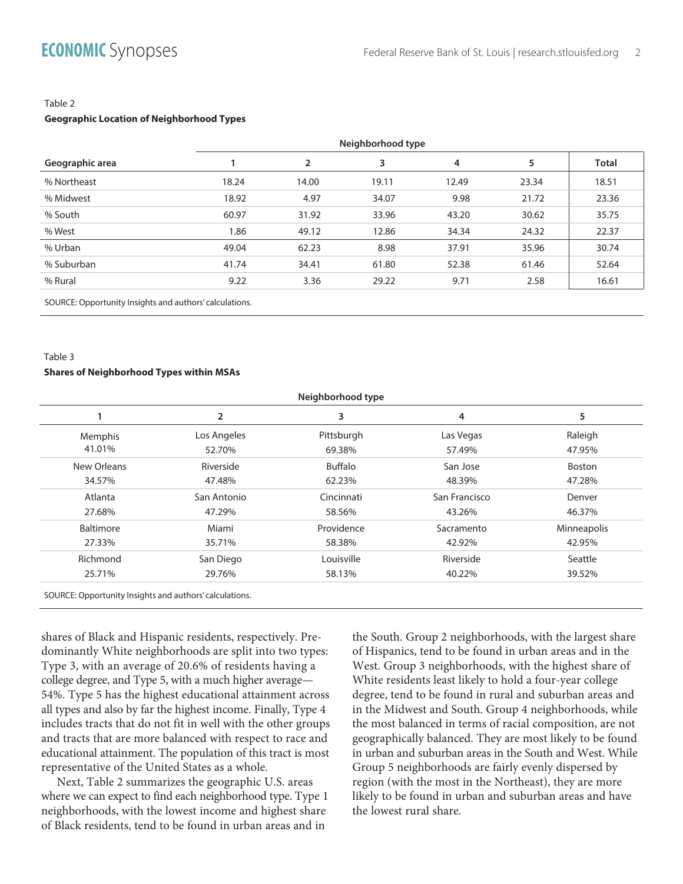## Table 2

# **Geographic Location of Neighborhood Types**

| Geographic area                                          |       | Neighborhood type |       |       |       |              |
|----------------------------------------------------------|-------|-------------------|-------|-------|-------|--------------|
|                                                          |       | $\overline{2}$    | 3     | 4     | 5     | <b>Total</b> |
| % Northeast                                              | 18.24 | 14.00             | 19.11 | 12.49 | 23.34 | 18.51        |
| % Midwest                                                | 18.92 | 4.97              | 34.07 | 9.98  | 21.72 | 23.36        |
| % South                                                  | 60.97 | 31.92             | 33.96 | 43.20 | 30.62 | 35.75        |
| % West                                                   | 1.86  | 49.12             | 12.86 | 34.34 | 24.32 | 22.37        |
| % Urban                                                  | 49.04 | 62.23             | 8.98  | 37.91 | 35.96 | 30.74        |
| % Suburban                                               | 41.74 | 34.41             | 61.80 | 52.38 | 61.46 | 52.64        |
| % Rural                                                  | 9.22  | 3.36              | 29.22 | 9.71  | 2.58  | 16.61        |
| COLIDCE, Opportunity Inciality and outhors' calculations |       |                   |       |       |       |              |

SOURCE: Opportunity Insights and authors' calculations.

# Table 3

#### **Shares of Neighborhood Types within MSAs**

| Neighborhood type |                |                |                         |               |  |  |
|-------------------|----------------|----------------|-------------------------|---------------|--|--|
|                   | $\overline{2}$ | 3              | 4                       | 5             |  |  |
| Memphis           | Los Angeles    | Pittsburgh     | Las Vegas               | Raleigh       |  |  |
| 41.01%            | 52.70%         | 69.38%         | 57.49%                  | 47.95%        |  |  |
| New Orleans       | Riverside      | <b>Buffalo</b> | San Jose                | <b>Boston</b> |  |  |
| 34.57%            | 47.48%         | 62.23%         | 48.39%                  | 47.28%        |  |  |
| Atlanta           | San Antonio    | Cincinnati     | San Francisco<br>Denver |               |  |  |
| 27.68%            | 47.29%         | 58.56%         | 43.26%                  | 46.37%        |  |  |
| Baltimore         | Miami          | Providence     | Sacramento              | Minneapolis   |  |  |
| 27.33%            | 35.71%         | 58.38%         | 42.92%                  | 42.95%        |  |  |
| Richmond          | San Diego      | Louisville     | Riverside               | Seattle       |  |  |
| 25.71%            | 29.76%         | 58.13%         | 40.22%                  | 39.52%        |  |  |

SOURCE: Opportunity Insights and authors' calculations.

shares of Black and Hispanic residents, respectively. Predominantly White neighborhoods are split into two types: Type 3, with an average of 20.6% of residents having a college degree, and Type 5, with a much higher average— 54%. Type 5 has the highest educational attainment across all types and also by far the highest income. Finally, Type 4 includes tracts that do not fit in well with the other groups and tracts that are more balanced with respect to race and educational attainment. The population of this tract is most representative of the United States as a whole.

Next, Table 2 summarizes the geographic U.S. areas where we can expect to find each neighborhood type. Type 1 neighborhoods, with the lowest income and highest share of Black residents, tend to be found in urban areas and in

the South. Group 2 neighborhoods, with the largest share of Hispanics, tend to be found in urban areas and in the West. Group 3 neighborhoods, with the highest share of White residents least likely to hold a four-year college degree, tend to be found in rural and suburban areas and in the Midwest and South. Group 4 neighborhoods, while the most balanced in terms of racial composition, are not geographically balanced. They are most likely to be found in urban and suburban areas in the South and West. While Group 5 neighborhoods are fairly evenly dispersed by region (with the most in the Northeast), they are more likely to be found in urban and suburban areas and have the lowest rural share.